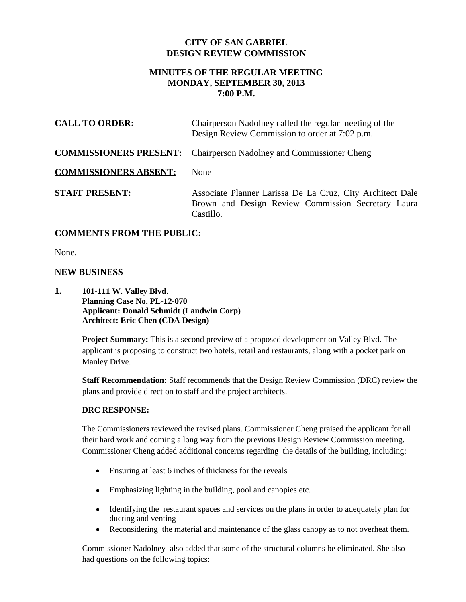## **CITY OF SAN GABRIEL DESIGN REVIEW COMMISSION**

# **MINUTES OF THE REGULAR MEETING MONDAY, SEPTEMBER 30, 2013 7:00 P.M.**

| <b>CALL TO ORDER:</b>        | Chairperson Nadolney called the regular meeting of the<br>Design Review Commission to order at 7:02 p.m.                     |
|------------------------------|------------------------------------------------------------------------------------------------------------------------------|
|                              | <b>COMMISSIONERS PRESENT:</b> Chairperson Nadolney and Commissioner Cheng                                                    |
| <b>COMMISSIONERS ABSENT:</b> | <b>None</b>                                                                                                                  |
| <b>STAFF PRESENT:</b>        | Associate Planner Larissa De La Cruz, City Architect Dale<br>Brown and Design Review Commission Secretary Laura<br>Castillo. |

# **COMMENTS FROM THE PUBLIC:**

None.

### **NEW BUSINESS**

**1. 101-111 W. Valley Blvd. Planning Case No. PL-12-070 Applicant: Donald Schmidt (Landwin Corp) Architect: Eric Chen (CDA Design)**

> **Project Summary:** This is a second preview of a proposed development on Valley Blvd. The applicant is proposing to construct two hotels, retail and restaurants, along with a pocket park on Manley Drive.

**Staff Recommendation:** Staff recommends that the Design Review Commission (DRC) review the plans and provide direction to staff and the project architects.

#### **DRC RESPONSE:**

The Commissioners reviewed the revised plans. Commissioner Cheng praised the applicant for all their hard work and coming a long way from the previous Design Review Commission meeting. Commissioner Cheng added additional concerns regarding the details of the building, including:

- Ensuring at least 6 inches of thickness for the reveals
- Emphasizing lighting in the building, pool and canopies etc.
- Identifying the restaurant spaces and services on the plans in order to adequately plan for ducting and venting
- Reconsidering the material and maintenance of the glass canopy as to not overheat them.

Commissioner Nadolney also added that some of the structural columns be eliminated. She also had questions on the following topics: